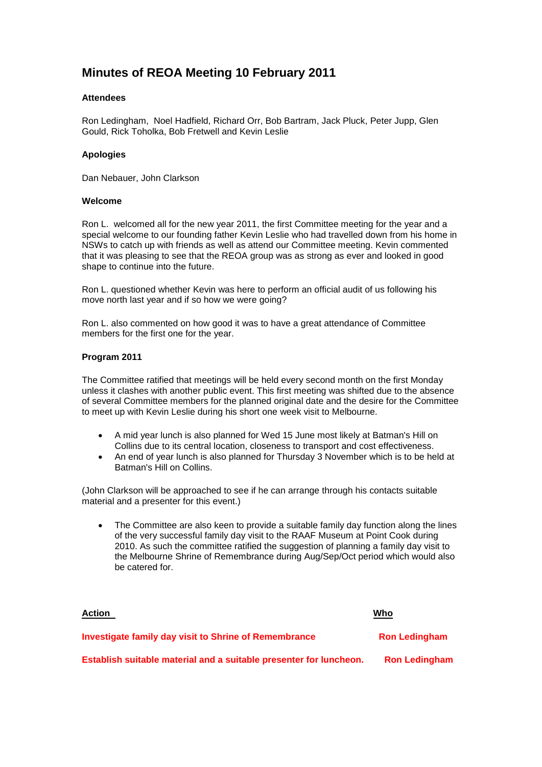# **Minutes of REOA Meeting 10 February 2011**

# **Attendees**

Ron Ledingham, Noel Hadfield, Richard Orr, Bob Bartram, Jack Pluck, Peter Jupp, Glen Gould, Rick Toholka, Bob Fretwell and Kevin Leslie

# **Apologies**

Dan Nebauer, John Clarkson

#### **Welcome**

Ron L. welcomed all for the new year 2011, the first Committee meeting for the year and a special welcome to our founding father Kevin Leslie who had travelled down from his home in NSWs to catch up with friends as well as attend our Committee meeting. Kevin commented that it was pleasing to see that the REOA group was as strong as ever and looked in good shape to continue into the future.

Ron L. questioned whether Kevin was here to perform an official audit of us following his move north last year and if so how we were going?

Ron L. also commented on how good it was to have a great attendance of Committee members for the first one for the year.

#### **Program 2011**

The Committee ratified that meetings will be held every second month on the first Monday unless it clashes with another public event. This first meeting was shifted due to the absence of several Committee members for the planned original date and the desire for the Committee to meet up with Kevin Leslie during his short one week visit to Melbourne.

- A mid year lunch is also planned for Wed 15 June most likely at Batman's Hill on Collins due to its central location, closeness to transport and cost effectiveness.
- An end of year lunch is also planned for Thursday 3 November which is to be held at Batman's Hill on Collins.

(John Clarkson will be approached to see if he can arrange through his contacts suitable material and a presenter for this event.)

• The Committee are also keen to provide a suitable family day function along the lines of the very successful family day visit to the RAAF Museum at Point Cook during 2010. As such the committee ratified the suggestion of planning a family day visit to the Melbourne Shrine of Remembrance during Aug/Sep/Oct period which would also be catered for.

| <b>Action</b>                                                      | Who                  |
|--------------------------------------------------------------------|----------------------|
| Investigate family day visit to Shrine of Remembrance              | <b>Ron Ledingham</b> |
| Establish suitable material and a suitable presenter for luncheon. | <b>Ron Ledingham</b> |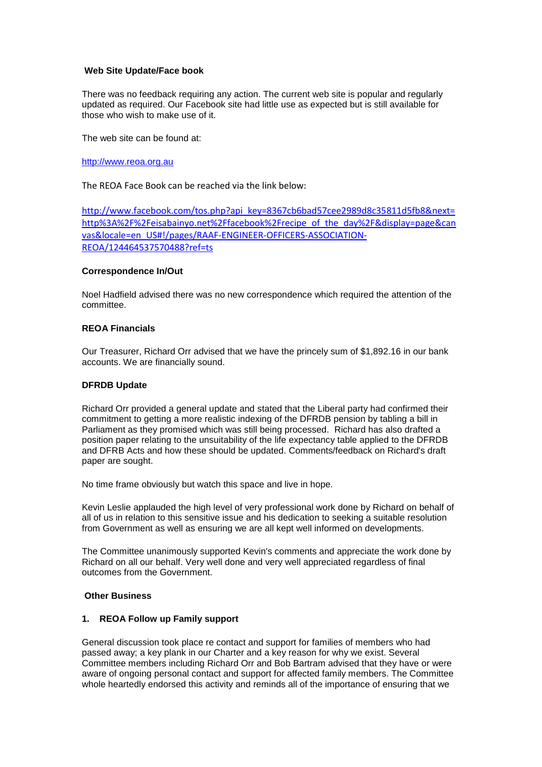### **Web Site Update/Face book**

There was no feedback requiring any action. The current web site is popular and regularly updated as required. Our Facebook site had little use as expected but is still available for those who wish to make use of it.

The web site can be found at:

[http://www.reoa.org.au](http://www.reoa.org.au/)

The REOA Face Book can be reached via the link below:

[http://www.facebook.com/tos.php?api\\_key=8367cb6bad57cee2989d8c35811d5fb8&next=](http://www.facebook.com/tos.php?api_key=8367cb6bad57cee2989d8c35811d5fb8&next=http%3A%2F%2Feisabainyo.net%2Ffacebook%2Frecipe_of_the_day%2F&display=page&canvas&locale=en_US#!/pages/RAAF-ENGINEER-OFFICERS-ASSOCIATION-REOA/124464537570488?ref=ts) [http%3A%2F%2Feisabainyo.net%2Ffacebook%2Frecipe\\_of\\_the\\_day%2F&display=page&can](http://www.facebook.com/tos.php?api_key=8367cb6bad57cee2989d8c35811d5fb8&next=http%3A%2F%2Feisabainyo.net%2Ffacebook%2Frecipe_of_the_day%2F&display=page&canvas&locale=en_US#!/pages/RAAF-ENGINEER-OFFICERS-ASSOCIATION-REOA/124464537570488?ref=ts) [vas&locale=en\\_US#!/pages/RAAF-ENGINEER-OFFICERS-ASSOCIATION-](http://www.facebook.com/tos.php?api_key=8367cb6bad57cee2989d8c35811d5fb8&next=http%3A%2F%2Feisabainyo.net%2Ffacebook%2Frecipe_of_the_day%2F&display=page&canvas&locale=en_US#!/pages/RAAF-ENGINEER-OFFICERS-ASSOCIATION-REOA/124464537570488?ref=ts)[REOA/124464537570488?ref=ts](http://www.facebook.com/tos.php?api_key=8367cb6bad57cee2989d8c35811d5fb8&next=http%3A%2F%2Feisabainyo.net%2Ffacebook%2Frecipe_of_the_day%2F&display=page&canvas&locale=en_US#!/pages/RAAF-ENGINEER-OFFICERS-ASSOCIATION-REOA/124464537570488?ref=ts)

## **Correspondence In/Out**

Noel Hadfield advised there was no new correspondence which required the attention of the committee.

# **REOA Financials**

Our Treasurer, Richard Orr advised that we have the princely sum of \$1,892.16 in our bank accounts. We are financially sound.

## **DFRDB Update**

Richard Orr provided a general update and stated that the Liberal party had confirmed their commitment to getting a more realistic indexing of the DFRDB pension by tabling a bill in Parliament as they promised which was still being processed. Richard has also drafted a position paper relating to the unsuitability of the life expectancy table applied to the DFRDB and DFRB Acts and how these should be updated. Comments/feedback on Richard's draft paper are sought.

No time frame obviously but watch this space and live in hope.

Kevin Leslie applauded the high level of very professional work done by Richard on behalf of all of us in relation to this sensitive issue and his dedication to seeking a suitable resolution from Government as well as ensuring we are all kept well informed on developments.

The Committee unanimously supported Kevin's comments and appreciate the work done by Richard on all our behalf. Very well done and very well appreciated regardless of final outcomes from the Government.

#### **Other Business**

#### **1. REOA Follow up Family support**

General discussion took place re contact and support for families of members who had passed away; a key plank in our Charter and a key reason for why we exist. Several Committee members including Richard Orr and Bob Bartram advised that they have or were aware of ongoing personal contact and support for affected family members. The Committee whole heartedly endorsed this activity and reminds all of the importance of ensuring that we